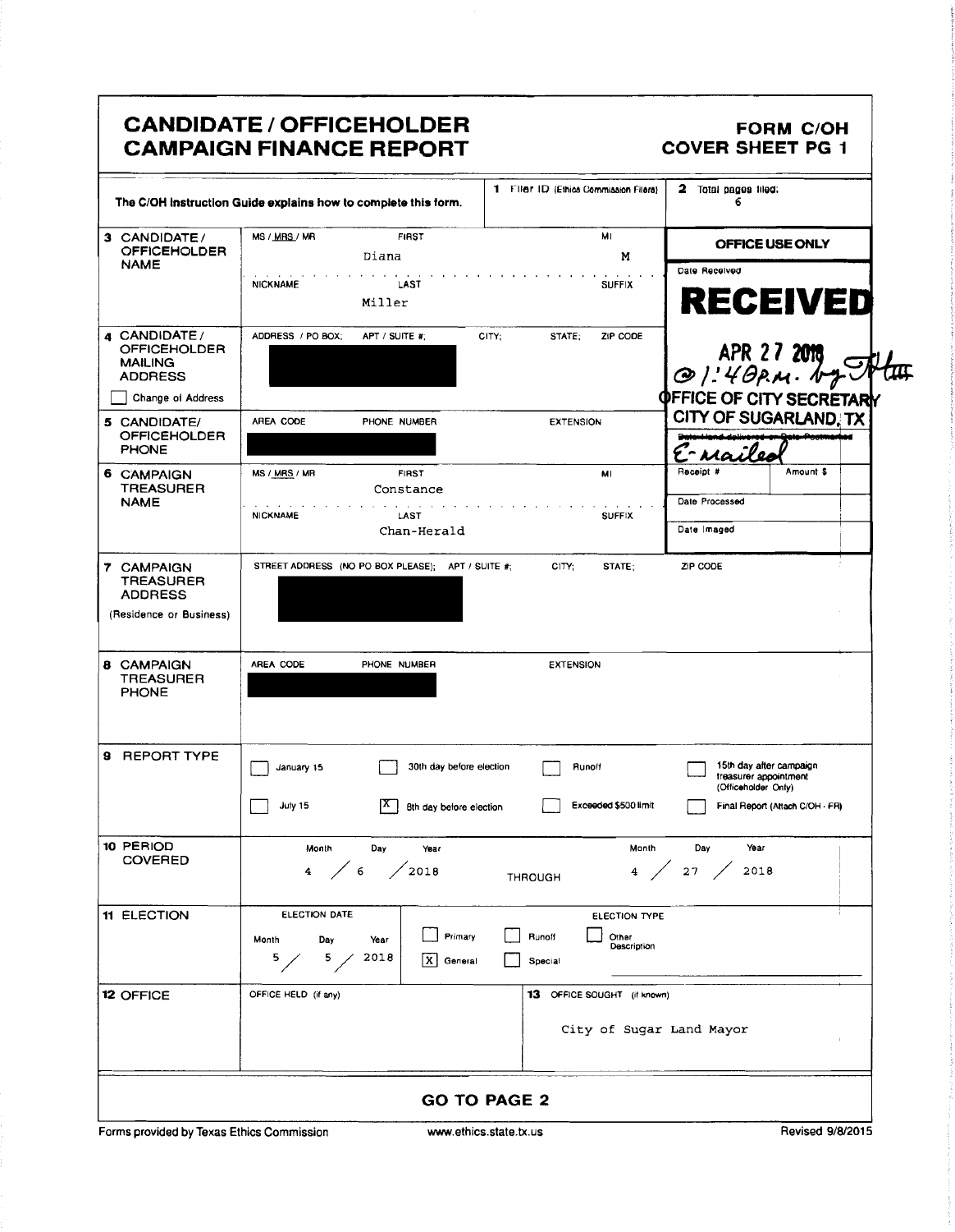|                                                                                  | The C/OH instruction Guide explains how to complete this form.                                                              |                                                            | 1 Filer ID (Ethica Commission Filers)                      | 2 Total pages filed:<br>6       |                                                                                     |
|----------------------------------------------------------------------------------|-----------------------------------------------------------------------------------------------------------------------------|------------------------------------------------------------|------------------------------------------------------------|---------------------------------|-------------------------------------------------------------------------------------|
| 3 CANDIDATE/<br><b>OFFICEHOLDER</b>                                              | MS / MRS / MR                                                                                                               | <b>FIRST</b><br>Diana                                      | MI<br>м                                                    |                                 | OFFICE USE ONLY                                                                     |
| <b>NAME</b>                                                                      | <b>NICKNAME</b>                                                                                                             | LAST<br>Miller                                             | <b>SUFFIX</b>                                              | Date Received                   | <b>RECEIVED</b>                                                                     |
| 4 CANDIDATE/<br><b>OFFICEHOLDER</b><br><b>MAILING</b><br><b>ADDRESS</b>          | ADDRESS / PO BOX;                                                                                                           | APT / SUITE #:                                             | STATE:<br>ZIP CODE<br>CITY:                                |                                 | APR 27 2019                                                                         |
| Change of Address                                                                |                                                                                                                             |                                                            |                                                            | <b>OFFICE OF CITY SECRETARY</b> |                                                                                     |
| 5 CANDIDATE/<br><b>OFFICEHOLDER</b><br><b>PHONE</b>                              | AREA CODE                                                                                                                   | PHONE NUMBER                                               | <b>EXTENSION</b>                                           | E-naile                         | <b>CITY OF SUGARLAND. TX</b>                                                        |
| 6 CAMPAIGN<br><b>TREASURER</b>                                                   | MS / MRS / MR                                                                                                               | <b>FIRST</b>                                               | MI                                                         | Receipt #                       | Amount \$                                                                           |
| <b>NAME</b>                                                                      | <b>NICKNAME</b>                                                                                                             | Constance<br>LAST                                          | <b>SUFFIX</b>                                              | Date Processed                  |                                                                                     |
|                                                                                  |                                                                                                                             | Chan-Herald                                                |                                                            | Date Imaged                     |                                                                                     |
| (Residence or Business)<br><b>8 CAMPAIGN</b><br><b>TREASURER</b><br><b>PHONE</b> | AREA CODE                                                                                                                   | PHONE NUMBER                                               | <b>EXTENSION</b>                                           |                                 |                                                                                     |
| <b>9 REPORT TYPE</b>                                                             | January 15<br>July 15                                                                                                       | 30th day before election<br> X.<br>Bth day before election | Runoff<br>Exceeded \$500 limit                             | (Officeholder Only)             | 15th day after campaign<br>treasurer appointment<br>Final Report (Attach C/OH - FR) |
| 10 PERIOD<br><b>COVERED</b>                                                      | Month<br>Day<br>Year<br>Month<br>Day<br>Year<br>4 / 6<br>$4 \middle/ 27 \middle/$<br>$\bigg/2018$<br>2018<br><b>THROUGH</b> |                                                            |                                                            |                                 |                                                                                     |
| 11 ELECTION                                                                      | ELECTION DATE<br>Day<br>Month<br>5 <sub>2</sub><br>5.                                                                       | Primary<br>Year<br>2018<br>X General                       | ELECTION TYPE<br>Runoff<br>Other<br>Description<br>Special |                                 |                                                                                     |
|                                                                                  | OFFICE HELD (if any)                                                                                                        |                                                            | 13 OFFICE SOUGHT (if known)                                |                                 |                                                                                     |
| <b>12 OFFICE</b>                                                                 |                                                                                                                             |                                                            |                                                            |                                 |                                                                                     |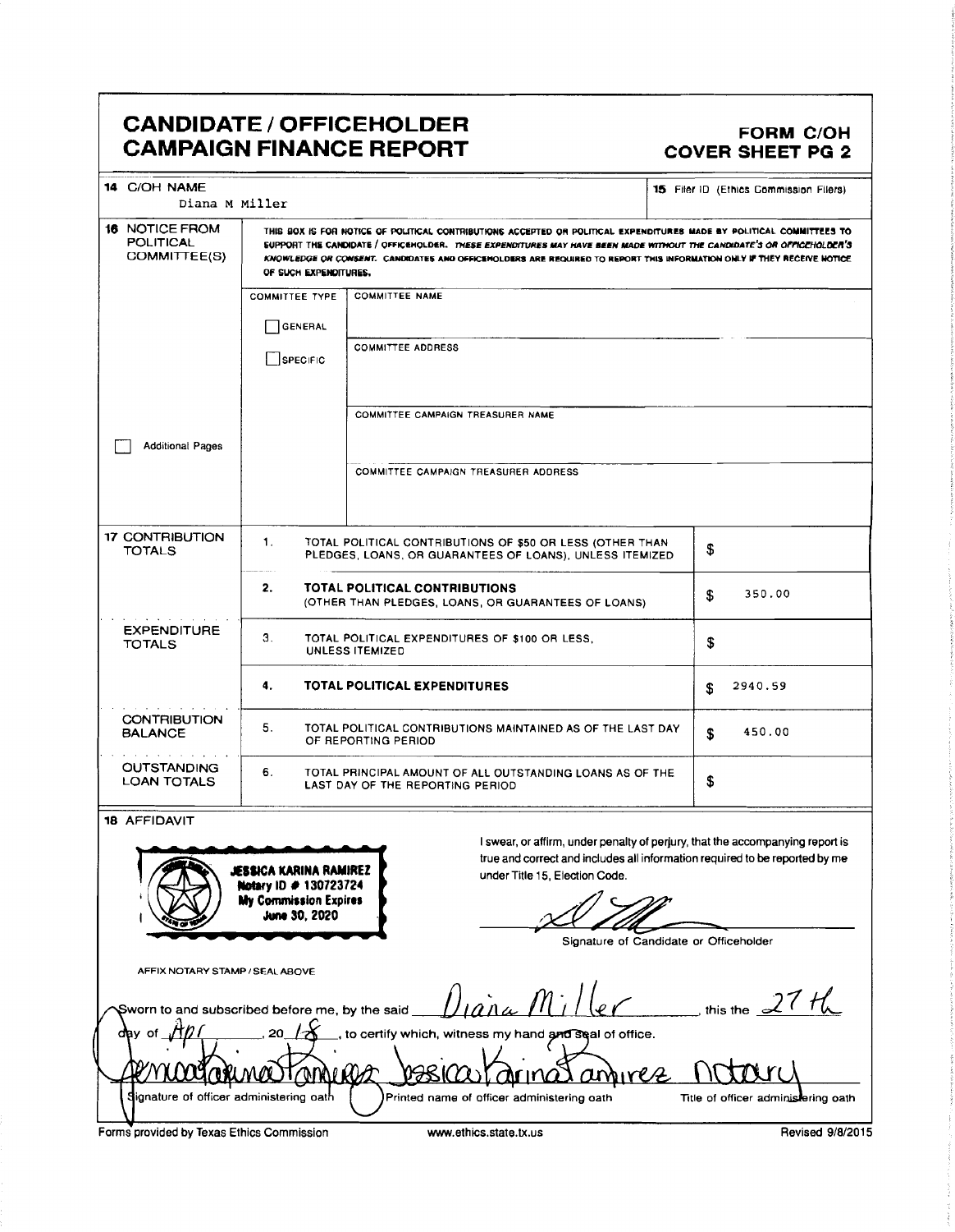## CANDIDATE / OFFICEHOLDER<br>CANDIDATE / OFFICEHOLDER CAMPAIGN FINANCE REPORT COVER SHEET PG 2

| 14 C/OH NAME                                   |                                                                                                                                                                                                                                                                          |                                                                                                                                                                                                | 15 Filer ID (Ethics Commission Filers) |  |  |
|------------------------------------------------|--------------------------------------------------------------------------------------------------------------------------------------------------------------------------------------------------------------------------------------------------------------------------|------------------------------------------------------------------------------------------------------------------------------------------------------------------------------------------------|----------------------------------------|--|--|
| Diana M Miller<br><b>16 NOTICE FROM</b>        |                                                                                                                                                                                                                                                                          | THIS BOX IS FOR NOTICE OF POLITICAL CONTRIBUTIONS ACCEPTED OR POLITICAL EXPENDITURES MADE BY POLITICAL COMMITTEES TO                                                                           |                                        |  |  |
| <b>POLITICAL</b><br>COMMITTEE(S)               | SUPPORT THE CANDIDATE / OFFICEHOLDER. THESE EXPENDITURES MAY HAVE BEEN MADE WITHOUT THE CANDIDATE'S OR OFFICEHOLDER'S<br>KNOWLEDGE OR CONSENT. CANDIDATES AND OFFICEHOLDERS ARE REQUIRED TO REPORT THIS INFORMATION ONLY IF THEY RECEIVE NOTICE<br>OF SUCH EXPENDITURES. |                                                                                                                                                                                                |                                        |  |  |
|                                                | <b>COMMITTEE TYPE</b>                                                                                                                                                                                                                                                    | <b>COMMITTEE NAME</b>                                                                                                                                                                          |                                        |  |  |
|                                                | <b>GENERAL</b>                                                                                                                                                                                                                                                           |                                                                                                                                                                                                |                                        |  |  |
|                                                |                                                                                                                                                                                                                                                                          | <b>COMMITTEE ADDRESS</b>                                                                                                                                                                       |                                        |  |  |
|                                                | <b>SPECIFIC</b>                                                                                                                                                                                                                                                          |                                                                                                                                                                                                |                                        |  |  |
|                                                |                                                                                                                                                                                                                                                                          | COMMITTEE CAMPAIGN TREASURER NAME                                                                                                                                                              |                                        |  |  |
| <b>Additional Pages</b>                        |                                                                                                                                                                                                                                                                          |                                                                                                                                                                                                |                                        |  |  |
|                                                |                                                                                                                                                                                                                                                                          | COMMITTEE CAMPAIGN TREASURER ADDRESS                                                                                                                                                           |                                        |  |  |
| 17 CONTRIBUTION                                | 1.                                                                                                                                                                                                                                                                       | TOTAL POLITICAL CONTRIBUTIONS OF \$50 OR LESS (OTHER THAN                                                                                                                                      |                                        |  |  |
| <b>TOTALS</b>                                  |                                                                                                                                                                                                                                                                          | PLEDGES, LOANS, OR GUARANTEES OF LOANS), UNLESS ITEMIZED                                                                                                                                       | \$                                     |  |  |
|                                                | 2.                                                                                                                                                                                                                                                                       | TOTAL POLITICAL CONTRIBUTIONS<br>(OTHER THAN PLEDGES, LOANS, OR GUARANTEES OF LOANS)                                                                                                           | 350.00<br>\$                           |  |  |
| <b>EXPENDITURE</b><br><b>TOTALS</b>            | З.                                                                                                                                                                                                                                                                       | TOTAL POLITICAL EXPENDITURES OF \$100 OR LESS.<br><b>UNLESS ITEMIZED</b>                                                                                                                       | \$                                     |  |  |
|                                                | 4.                                                                                                                                                                                                                                                                       | TOTAL POLITICAL EXPENDITURES                                                                                                                                                                   | 2940.59<br>£                           |  |  |
| CONTRIBUTION<br><b>BALANCE</b>                 | 5.                                                                                                                                                                                                                                                                       | TOTAL POLITICAL CONTRIBUTIONS MAINTAINED AS OF THE LAST DAY<br>OF REPORTING PERIOD                                                                                                             | 450.00<br>£.                           |  |  |
| <b>OUTSTANDING</b><br><b>LOAN TOTALS</b>       | 6.                                                                                                                                                                                                                                                                       | TOTAL PRINCIPAL AMOUNT OF ALL OUTSTANDING LOANS AS OF THE<br>LAST DAY OF THE REPORTING PERIOD                                                                                                  | \$                                     |  |  |
| <b>18 AFFIDAVIT</b>                            |                                                                                                                                                                                                                                                                          |                                                                                                                                                                                                |                                        |  |  |
|                                                | JESSICA KARINA RAMIREZ<br>Notary ID # 130723724<br><b>My Commission Expires</b><br>June 30, 2020                                                                                                                                                                         | I swear, or affirm, under penalty of perjury, that the accompanying report is<br>true and correct and includes all information required to be reported by me<br>under Title 15, Election Code. |                                        |  |  |
|                                                |                                                                                                                                                                                                                                                                          | Signature of Candidate or Officeholder                                                                                                                                                         |                                        |  |  |
| AFFIX NOTARY STAMP / SEAL ABOVE                |                                                                                                                                                                                                                                                                          |                                                                                                                                                                                                |                                        |  |  |
| Sworn to and subscribed before me, by the said |                                                                                                                                                                                                                                                                          |                                                                                                                                                                                                | this the $\leq$                        |  |  |
| dav of                                         |                                                                                                                                                                                                                                                                          | to certify which, witness my hand and seal of office.                                                                                                                                          |                                        |  |  |
|                                                | ากก                                                                                                                                                                                                                                                                      | MINCE                                                                                                                                                                                          |                                        |  |  |
| ignature of officer administering oath         |                                                                                                                                                                                                                                                                          | Printed name of officer administering oath                                                                                                                                                     | Title of officer administering oath    |  |  |
| Forms provided by Texas Ethics Commission      |                                                                                                                                                                                                                                                                          | www.ethics.state.tx.us                                                                                                                                                                         | Revised 9/8/2015                       |  |  |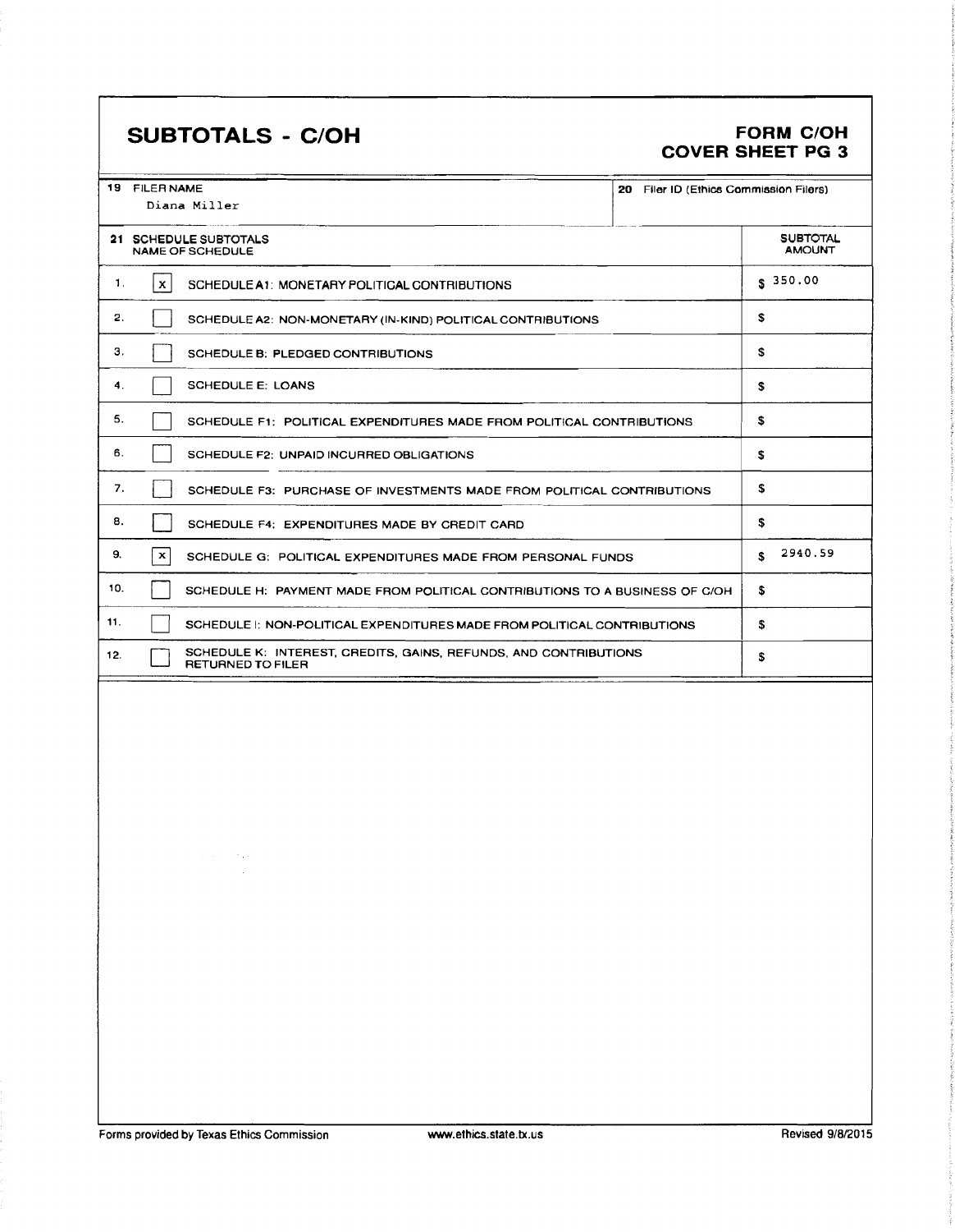# SUBTOTALS - C/OH FORM C/OH

# COVER SHEET PG 3

|     | 19 FILER NAME<br>20 Filer ID (Ethics Commission Filers)<br>Diana Miller                      |                                  |
|-----|----------------------------------------------------------------------------------------------|----------------------------------|
|     | 21 SCHEDULE SUBTOTALS<br><b>NAME OF SCHEDULE</b>                                             | <b>SUBTOTAL</b><br><b>AMOUNT</b> |
| 1,  | $\mathbf{x}$<br>SCHEDULE A1: MONETARY POLITICAL CONTRIBUTIONS                                | \$350.00                         |
| 2.  | SCHEDULE A2: NON-MONETARY (IN-KIND) POLITICAL CONTRIBUTIONS                                  | \$                               |
| З.  | SCHEDULE B: PLEDGED CONTRIBUTIONS                                                            | \$                               |
| 4.  | <b>SCHEDULE E: LOANS</b>                                                                     | s                                |
| 5.  | SCHEDULE F1: POLITICAL EXPENDITURES MADE FROM POLITICAL CONTRIBUTIONS                        | \$                               |
| 6.  | SCHEDULE F2: UNPAID INCURRED OBLIGATIONS                                                     | \$                               |
| 7.  | SCHEDULE F3: PURCHASE OF INVESTMENTS MADE FROM POLITICAL CONTRIBUTIONS                       | \$                               |
| 8.  | SCHEDULE F4: EXPENDITURES MADE BY CREDIT CARD                                                | \$                               |
| 9.  | $\mathbf x$<br>SCHEDULE G: POLITICAL EXPENDITURES MADE FROM PERSONAL FUNDS                   | 2940.59<br>s.                    |
| 10. | SCHEDULE H: PAYMENT MADE FROM POLITICAL CONTRIBUTIONS TO A BUSINESS OF C/OH                  | s                                |
| 11. | SCHEDULE I: NON-POLITICAL EXPENDITURES MADE FROM POLITICAL CONTRIBUTIONS                     | \$                               |
| 12. | SCHEDULE K: INTEREST, CREDITS, GAINS, REFUNDS, AND CONTRIBUTIONS<br><b>RETURNED TO FILER</b> | \$                               |
|     |                                                                                              |                                  |

 $\lambda$  ,  $\lambda$  ,  $\lambda$  ,  $\lambda$  $\mathcal{L}$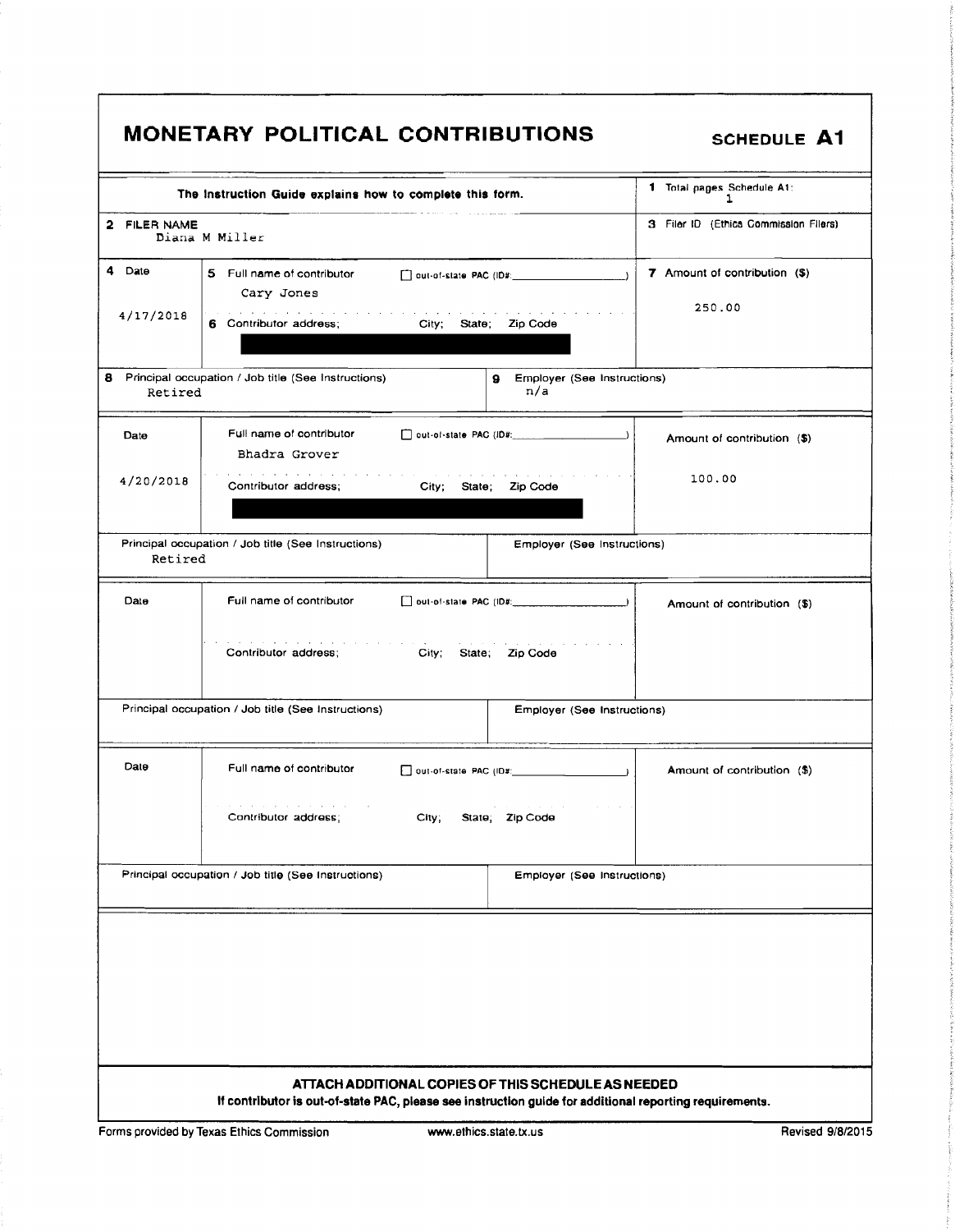|  |  | <b>MONETARY POLITICAL CONTRIBUTIONS</b> |
|--|--|-----------------------------------------|
|--|--|-----------------------------------------|

SCHEDULE A1

|                     | The Instruction Guide explains how to complete this form.                                                                                                                | 1 Total pages Schedule A1:<br>ı                                       |
|---------------------|--------------------------------------------------------------------------------------------------------------------------------------------------------------------------|-----------------------------------------------------------------------|
| 2 FILER NAME        | Diana M Miller                                                                                                                                                           | 3 Filer ID (Ethics Commission Filers)                                 |
| 4 Date<br>4/17/2018 | 5 Full name of contributor<br>Cary Jones<br>المنافر والمتواطن والمتناول والمنافر والمتناول والمنافر والمناول والمناور<br>6 Contributor address;<br>City; State; Zip Code | 7 Amount of contribution (\$)<br>250.00                               |
| Retired             | 8 Principal occupation / Job title (See Instructions)<br>9                                                                                                               | Employer (See Instructions)<br>n/a                                    |
| Date                | Full name of contributor<br>Bhadra Grover                                                                                                                                | Amount of contribution (\$)                                           |
| 4/20/2018           | Contributor address;<br>City; State; Zip Code                                                                                                                            | 100.00                                                                |
| Retired             | Principal occupation / Job title (See Instructions)                                                                                                                      | Employer (See Instructions)                                           |
| Date                | Full name of contributor                                                                                                                                                 | $\Box$ out-of-state PAC (ID#: $\Box$ )<br>Amount of contribution (\$) |
|                     | Contributor address;<br>City; State; Zip Code                                                                                                                            |                                                                       |
|                     | Principal occupation / Job title (See Instructions)                                                                                                                      | Employer (See Instructions)                                           |
| Date                | Full name of contributor                                                                                                                                                 | Amount of contribution (\$)                                           |
|                     | the contract of the contract of the contract of<br>Contributor address;<br>City;<br>State; Zip Code                                                                      |                                                                       |
|                     | Principal occupation / Job title (See Instructions)                                                                                                                      | Employer (See Instructions)                                           |
|                     |                                                                                                                                                                          |                                                                       |
|                     |                                                                                                                                                                          |                                                                       |
|                     |                                                                                                                                                                          |                                                                       |
|                     | ATTACH ADDITIONAL COPIES OF THIS SCHEDULE AS NEEDED<br>If contributor is out-of-state PAC, please see instruction guide for additional reporting requirements.           |                                                                       |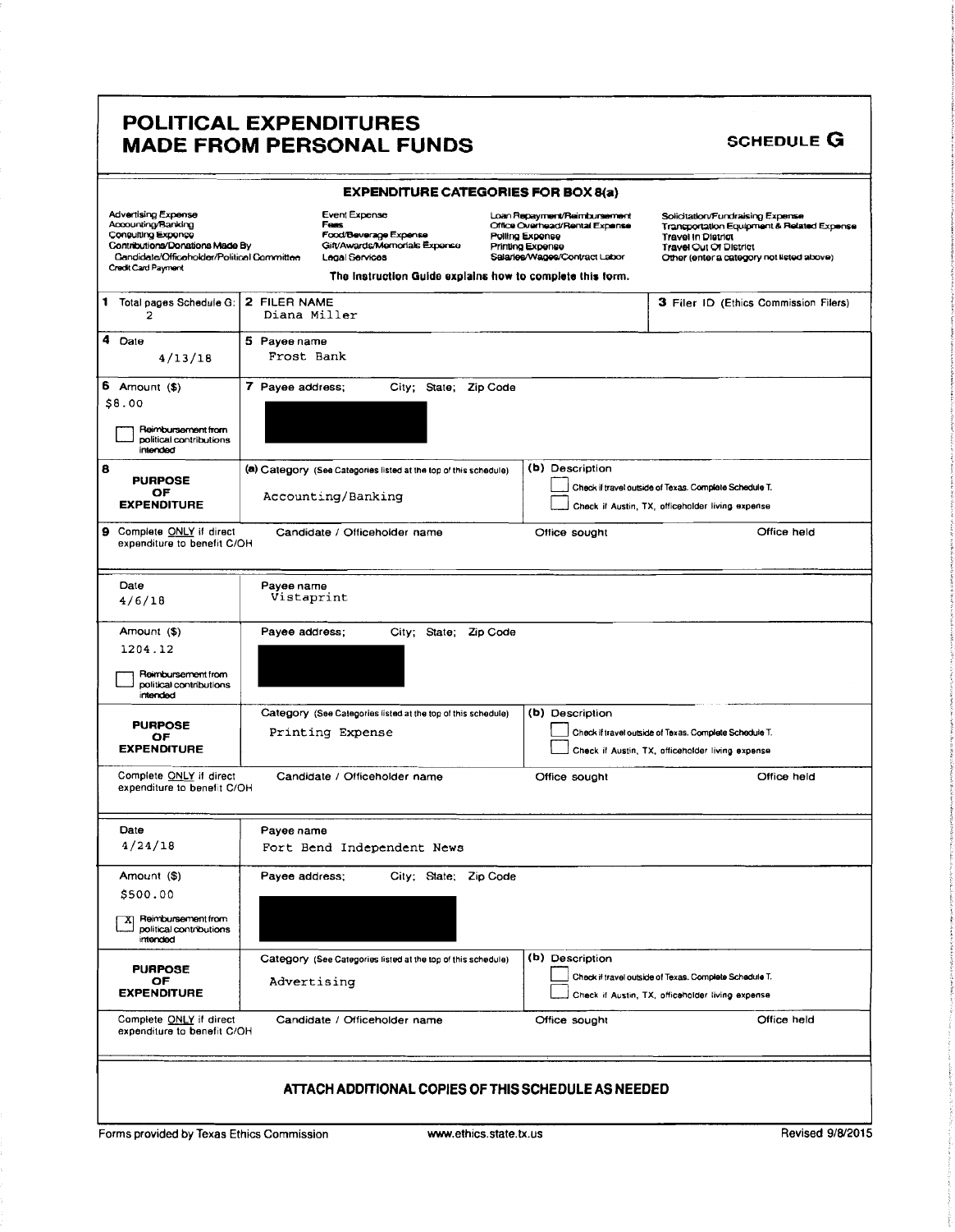### POLITICAL EXPENDITURES MADE FROM PERSONAL FUNDS SCHEDULE G

### EXPENDITURE CATEGORIES FOR BOX 8(a) Advertising Expense Event Expense Loan Repayment/Reimbursement Solicitation/Fundraising Expense<br>Accounting Raymont Account For Expense Connect China Expense Transportation Equipment & Rela<br>Consulting Expense For Food/Bever Office Overhead/Rental Expense Transportation Equipment & Related Expense<br>
Polling Expense Travel in District Coneulting Expense Food/Beverage Expense Polling Expense Travel In District<br>Contributions/Donations Made By Gift/Awards/Memorials Expense Printing Expense Travel Out Of District<br>Travel Out Of District Contributions/Donations Made By Gitt/Awards/Memorials Expense Primting Expense Fravel Out Of District Travel Cut<br>Candidate/Officeholder/Political Committee Legal Services Salaries/Wages/Contract Labor Other (enter a catego Credit Card Payment The Instruction Guide explains how to complete this form. 1 Total pages Schedule G: 2 FILER NAME 3 Filer ID (Ethics Commission Filers)<br>2 Diana Miller 4 Date 5 Payee name  $4/13/18$  Frost Bank 6 Amount (\$) 7 Payee address; City; State; Zip Code 8. 00 **Reimbursement from** political contributions intended 8 **a a**) Category (See Categories listed at the top of this schedule) (b) Description PURPOSE<br>OF PUHPOSE<br>
OF ACCOUNTing/Banking<br>
Check if Austin, TX, officeholder living experse Accounting/ Banking Check if Austin, TX, officeholder living expense 9 Complete ONLY if direct Candidate / Officeholder name Correct Complete Sought Constructs of Container to benefit C/OH Date Payee name<br>1/6/18 Vistaprint Amount (\$) Payee address; City; State; Zip Code 1204. 12 Reimbursement from political contributions intended Category (See Categories listed at the top of this schedule) (b) Description PURPOSE<br>OF PUHPOSE Printing Expense<br>
OF OF Check if travel outside of Texas. Complete Schedule T.<br>
Check if Austin. TX. officeholder living expense  $\Box$  Check if Austin, TX, officeholder living expense Complete ONLY if direct Candidate / Officeholder name Office sought Complete CONLY if direct Candidate / Officeholder name expenditure to benefit C/OH Date Payee name 4/ 24/ 18 Fort Bend Independent News Amount (\$) Payee address; City; State; Zip Code 500. 00  $X$  Reimbursement from political contributions interxied Category (See Categories listed at the top of this schedule) (b) Description PURPOSE<br>
OF Advertising<br>
EXPENDITURE Check if travel outside of Texas. Complete Schedule T.  $\perp$  Check if Austin, TX, officeholder living expense Complete ONLY if direct Candidate / Officeholder name Office sought Office held expenditure to benefit C/OH ATTACH ADDITIONAL COPIES OF THIS SCHEDULE AS NEEDED